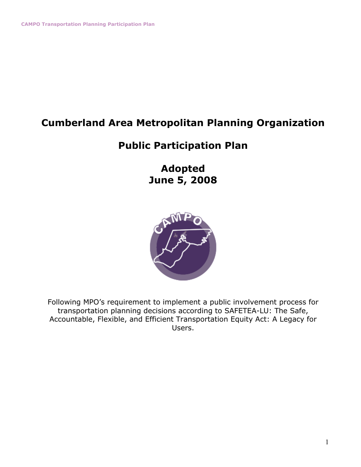# **Cumberland Area Metropolitan Planning Organization**

# **Public Participation Plan**

**Adopted June 5, 2008**



Following MPO's requirement to implement a public involvement process for transportation planning decisions according to SAFETEA-LU: The Safe, Accountable, Flexible, and Efficient Transportation Equity Act: A Legacy for Users.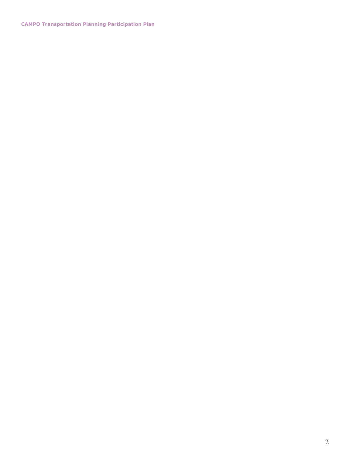**CAMPO Transportation Planning Participation Plan**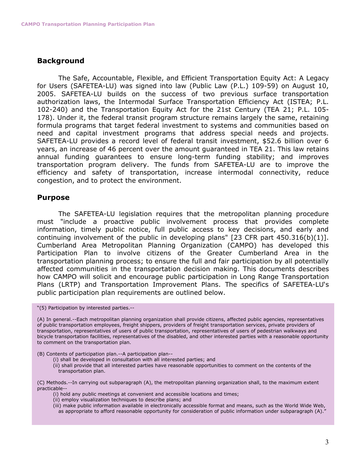### **Background**

The Safe, Accountable, Flexible, and Efficient Transportation Equity Act: A Legacy for Users (SAFETEA-LU) was signed into law (Public Law (P.L.) 109-59) on August 10, 2005. SAFETEA-LU builds on the success of two previous surface transportation authorization laws, the Intermodal Surface Transportation Efficiency Act (ISTEA; P.L. 102-240) and the Transportation Equity Act for the 21st Century (TEA 21; P.L. 105- 178). Under it, the federal transit program structure remains largely the same, retaining formula programs that target federal investment to systems and communities based on need and capital investment programs that address special needs and projects. SAFETEA-LU provides a record level of federal transit investment, \$52.6 billion over 6 years, an increase of 46 percent over the amount guaranteed in TEA 21. This law retains annual funding guarantees to ensure long-term funding stability; and improves transportation program delivery. The funds from SAFETEA-LU are to improve the efficiency and safety of transportation, increase intermodal connectivity, reduce congestion, and to protect the environment.

#### **Purpose**

The SAFETEA-LU legislation requires that the metropolitan planning procedure must "include a proactive public involvement process that provides complete information, timely public notice, full public access to key decisions, and early and continuing involvement of the public in developing plans" [23 CFR part 450.316(b)(1)]. Cumberland Area Metropolitan Planning Organization (CAMPO) has developed this Participation Plan to involve citizens of the Greater Cumberland Area in the transportation planning process; to ensure the full and fair participation by all potentially affected communities in the transportation decision making. This documents describes how CAMPO will solicit and encourage public participation in Long Range Transportation Plans (LRTP) and Transportation Improvement Plans. The specifics of SAFETEA-LU's public participation plan requirements are outlined below.

"(5) Participation by interested parties.--

(A) In general.--Each metropolitan planning organization shall provide citizens, affected public agencies, representatives of public transportation employees, freight shippers, providers of freight transportation services, private providers of transportation, representatives of users of public transportation, representatives of users of pedestrian walkways and bicycle transportation facilities, representatives of the disabled, and other interested parties with a reasonable opportunity to comment on the transportation plan.

(B) Contents of participation plan.--A participation plan--

- (i) shall be developed in consultation with all interested parties; and
- (ii) shall provide that all interested parties have reasonable opportunities to comment on the contents of the transportation plan.
- (C) Methods.--In carrying out subparagraph (A), the metropolitan planning organization shall, to the maximum extent practicable--
	- (i) hold any public meetings at convenient and accessible locations and times;
	- (ii) employ visualization techniques to describe plans; and
	- (iii) make public information available in electronically accessible format and means, such as the World Wide Web, as appropriate to afford reasonable opportunity for consideration of public information under subparagraph (A)."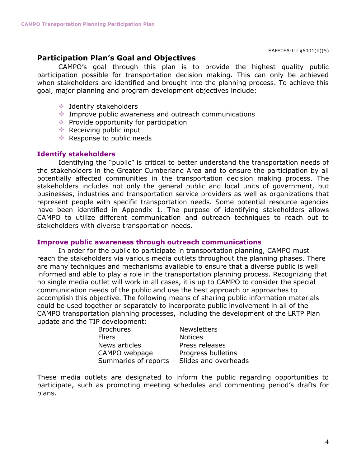## **Participation Plan's Goal and Objectives**

CAMPO's goal through this plan is to provide the highest quality public participation possible for transportation decision making. This can only be achieved when stakeholders are identified and brought into the planning process. To achieve this goal, major planning and program development objectives include:

- $\triangleleft$  Identify stakeholders
- **Improve public awareness and outreach communications**
- $\bullet$  Provide opportunity for participation
- $\triangle$  Receiving public input
- $\triangleleft$  Response to public needs

#### **Identify stakeholders**

Identifying the "public" is critical to better understand the transportation needs of the stakeholders in the Greater Cumberland Area and to ensure the participation by all potentially affected communities in the transportation decision making process. The stakeholders includes not only the general public and local units of government, but businesses, industries and transportation service providers as well as organizations that represent people with specific transportation needs. Some potential resource agencies have been identified in Appendix 1. The purpose of identifying stakeholders allows CAMPO to utilize different communication and outreach techniques to reach out to stakeholders with diverse transportation needs.

#### **Improve public awareness through outreach communications**

In order for the public to participate in transportation planning, CAMPO must reach the stakeholders via various media outlets throughout the planning phases. There are many techniques and mechanisms available to ensure that a diverse public is well informed and able to play a role in the transportation planning process. Recognizing that no single media outlet will work in all cases, it is up to CAMPO to consider the special communication needs of the public and use the best approach or approaches to accomplish this objective. The following means of sharing public information materials could be used together or separately to incorporate public involvement in all of the CAMPO transportation planning processes, including the development of the LRTP Plan update and the TIP development:

| <b>Brochures</b>     | <b>Newsletters</b>   |
|----------------------|----------------------|
| <b>Fliers</b>        | <b>Notices</b>       |
| News articles        | Press releases       |
| CAMPO webpage        | Progress bulletins   |
| Summaries of reports | Slides and overheads |

These media outlets are designated to inform the public regarding opportunities to participate, such as promoting meeting schedules and commenting period's drafts for plans.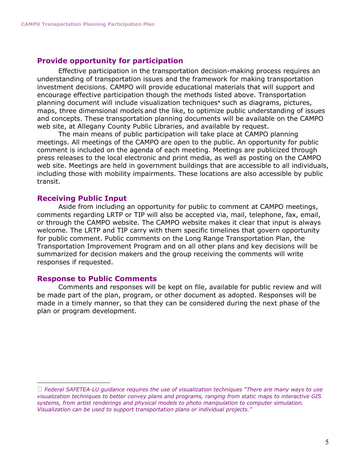### **Provide opportunity for participation**

Effective participation in the transportation decision-making process requires an understanding of transportation issues and the framework for making transportation investment decisions. CAMPO will provide educational materials that will support and encourage effective participation though the methods listed above. Transportation planning document will include visualization techniques such as diagrams, pictures, maps, three dimensional models and the like, to optimize public understanding of issues and concepts. These transportation planning documents will be available on the CAMPO web site, at Allegany County Public Libraries, and available by request.

The main means of public participation will take place at CAMPO planning meetings. All meetings of the CAMPO are open to the public. An opportunity for public comment is included on the agenda of each meeting. Meetings are publicized through press releases to the local electronic and print media, as well as posting on the CAMPO web site. Meetings are held in government buildings that are accessible to all individuals, including those with mobility impairments. These locations are also accessible by public transit.

#### **Receiving Public Input**

Aside from including an opportunity for public to comment at CAMPO meetings, comments regarding LRTP or TIP will also be accepted via, mail, telephone, fax, email, or through the CAMPO website. The CAMPO website makes it clear that input is always welcome. The LRTP and TIP carry with them specific timelines that govern opportunity for public comment. Public comments on the Long Range Transportation Plan, the Transportation Improvement Program and on all other plans and key decisions will be summarized for decision makers and the group receiving the comments will write responses if requested.

#### **Response to Public Comments**

Comments and responses will be kept on file, available for public review and will be made part of the plan, program, or other document as adopted. Responses will be made in a timely manner, so that they can be considered during the next phase of the plan or program development.

<span id="page-4-0"></span>*Federal SAFETEA-LU guidance requires the use of visualization techniques "There are many ways to use visualization techniques to better convey plans and programs, ranging from static maps to interactive GIS systems, from artist renderings and physical models to photo manipulation to computer simulation. Visualization can be used to support transportation plans or individual projects."*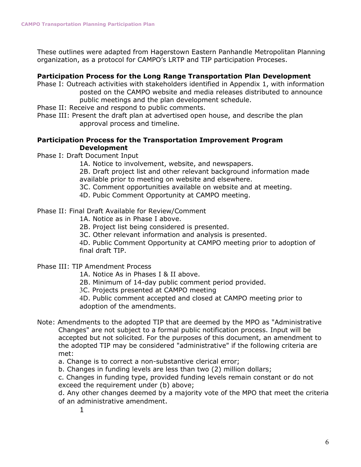These outlines were adapted from Hagerstown Eastern Panhandle Metropolitan Planning organization, as a protocol for CAMPO's LRTP and TIP participation Proceses.

### **Participation Process for the Long Range Transportation Plan Development**

- Phase I: Outreach activities with stakeholders identified in Appendix 1, with information posted on the CAMPO website and media releases distributed to announce public meetings and the plan development schedule.
- Phase II: Receive and respond to public comments.
- Phase III: Present the draft plan at advertised open house, and describe the plan approval process and timeline.

#### **Participation Process for the Transportation Improvement Program Development**

Phase I: Draft Document Input

1A. Notice to involvement, website, and newspapers.

2B. Draft project list and other relevant background information made available prior to meeting on website and elsewhere.

3C. Comment opportunities available on website and at meeting.

- 4D. Pubic Comment Opportunity at CAMPO meeting.
- Phase II: Final Draft Available for Review/Comment
	- 1A. Notice as in Phase I above.

2B. Project list being considered is presented.

3C. Other relevant information and analysis is presented.

4D. Public Comment Opportunity at CAMPO meeting prior to adoption of final draft TIP.

- Phase III: TIP Amendment Process
	- 1A. Notice As in Phases I & II above.
	- 2B. Minimum of 14-day public comment period provided.
	- 3C. Projects presented at CAMPO meeting

4D. Public comment accepted and closed at CAMPO meeting prior to adoption of the amendments.

- Note: Amendments to the adopted TIP that are deemed by the MPO as "Administrative Changes" are not subject to a formal public notification process. Input will be accepted but not solicited. For the purposes of this document, an amendment to the adopted TIP may be considered "administrative" if the following criteria are met:
	- a. Change is to correct a non-substantive clerical error;
	- b. Changes in funding levels are less than two (2) million dollars;

c. Changes in funding type, provided funding levels remain constant or do not exceed the requirement under (b) above;

d. Any other changes deemed by a majority vote of the MPO that meet the criteria of an administrative amendment.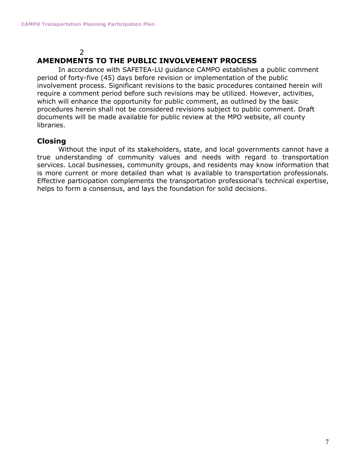### 2

# **AMENDMENTS TO THE PUBLIC INVOLVEMENT PROCESS**

In accordance with SAFETEA-LU guidance CAMPO establishes a public comment period of forty-five (45) days before revision or implementation of the public involvement process. Significant revisions to the basic procedures contained herein will require a comment period before such revisions may be utilized. However, activities, which will enhance the opportunity for public comment, as outlined by the basic procedures herein shall not be considered revisions subject to public comment. Draft documents will be made available for public review at the MPO website, all county libraries.

## **Closing**

Without the input of its stakeholders, state, and local governments cannot have a true understanding of community values and needs with regard to transportation services. Local businesses, community groups, and residents may know information that is more current or more detailed than what is available to transportation professionals. Effective participation complements the transportation professional's technical expertise, helps to form a consensus, and lays the foundation for solid decisions.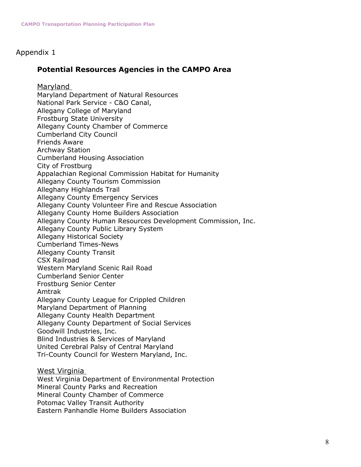## Appendix 1

# **Potential Resources Agencies in the CAMPO Area**

Maryland Maryland Department of Natural Resources National Park Service - C&O Canal, Allegany College of Maryland Frostburg State University Allegany County Chamber of Commerce Cumberland City Council Friends Aware Archway Station Cumberland Housing Association City of Frostburg Appalachian Regional Commission Habitat for Humanity Allegany County Tourism Commission Alleghany Highlands Trail Allegany County Emergency Services Allegany County Volunteer Fire and Rescue Association Allegany County Home Builders Association Allegany County Human Resources Development Commission, Inc. Allegany County Public Library System Allegany Historical Society Cumberland Times-News Allegany County Transit CSX Railroad Western Maryland Scenic Rail Road Cumberland Senior Center Frostburg Senior Center Amtrak Allegany County League for Crippled Children Maryland Department of Planning Allegany County Health Department Allegany County Department of Social Services Goodwill Industries, Inc. Blind Industries & Services of Maryland United Cerebral Palsy of Central Maryland Tri-County Council for Western Maryland, Inc. West Virginia West Virginia Department of Environmental Protection Mineral County Parks and Recreation

Mineral County Chamber of Commerce

Potomac Valley Transit Authority

Eastern Panhandle Home Builders Association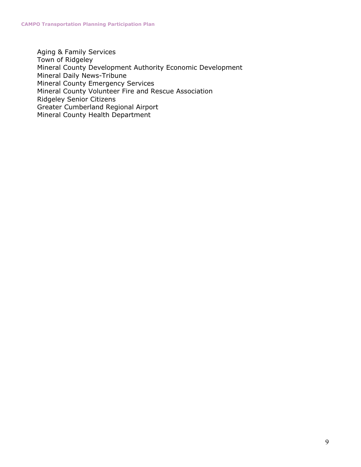Aging & Family Services Town of Ridgeley Mineral County Development Authority Economic Development Mineral Daily News-Tribune Mineral County Emergency Services Mineral County Volunteer Fire and Rescue Association Ridgeley Senior Citizens Greater Cumberland Regional Airport Mineral County Health Department